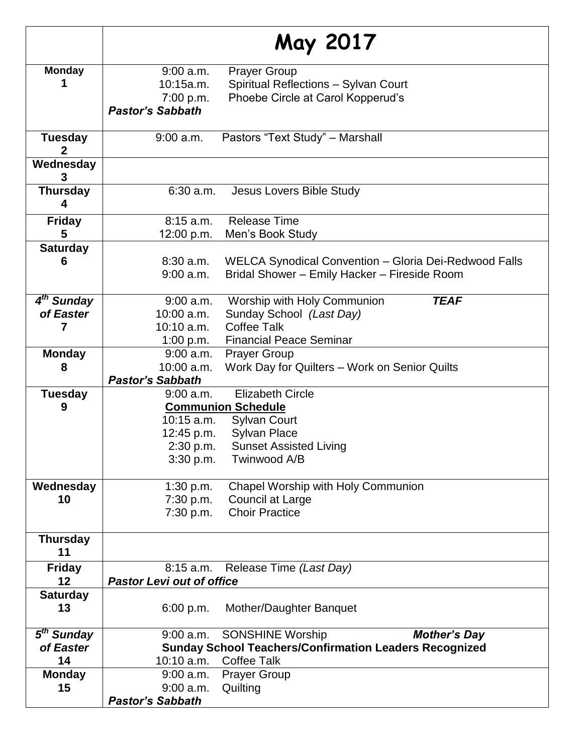|                                | May 2017                         |                                                               |
|--------------------------------|----------------------------------|---------------------------------------------------------------|
| <b>Monday</b>                  | $9:00$ a.m.                      | <b>Prayer Group</b>                                           |
|                                | 10:15a.m.                        | Spiritual Reflections - Sylvan Court                          |
|                                | 7:00 p.m.                        | Phoebe Circle at Carol Kopperud's                             |
|                                | <b>Pastor's Sabbath</b>          |                                                               |
| <b>Tuesday</b><br>$\mathbf{2}$ | 9:00 a.m.                        | Pastors "Text Study" - Marshall                               |
| Wednesday<br>3                 |                                  |                                                               |
| <b>Thursday</b><br>4           | $6:30$ a.m.                      | Jesus Lovers Bible Study                                      |
| <b>Friday</b>                  | 8:15a.m.                         | <b>Release Time</b>                                           |
| 5                              | 12:00 p.m.                       | Men's Book Study                                              |
| <b>Saturday</b>                |                                  |                                                               |
| 6                              | $8:30$ a.m.                      | WELCA Synodical Convention - Gloria Dei-Redwood Falls         |
|                                | $9:00$ a.m.                      | Bridal Shower - Emily Hacker - Fireside Room                  |
| 4 <sup>th</sup> Sunday         | 9:00 a.m.                        | Worship with Holy Communion<br><b>TEAF</b>                    |
| of Easter                      | $10:00$ a.m.                     | Sunday School (Last Day)                                      |
| 7                              | $10:10$ a.m.                     | <b>Coffee Talk</b>                                            |
|                                | 1:00 p.m.                        | <b>Financial Peace Seminar</b>                                |
| <b>Monday</b>                  | $9:00$ a.m.                      | <b>Prayer Group</b>                                           |
| 8                              | 10:00 a.m.                       | Work Day for Quilters - Work on Senior Quilts                 |
|                                | <b>Pastor's Sabbath</b>          |                                                               |
| <b>Tuesday</b>                 | $9:00$ a.m.                      | <b>Elizabeth Circle</b>                                       |
| 9                              | <b>Communion Schedule</b>        |                                                               |
|                                | 10:15 a.m.                       | <b>Sylvan Court</b>                                           |
|                                | 12:45 p.m.                       | <b>Sylvan Place</b>                                           |
|                                | 2:30 p.m.                        | <b>Sunset Assisted Living</b>                                 |
|                                | 3:30 p.m.                        | Twinwood A/B                                                  |
| Wednesday                      | 1:30 p.m.                        | Chapel Worship with Holy Communion                            |
| 10                             | 7:30 p.m.                        | Council at Large                                              |
|                                | 7:30 p.m.                        | <b>Choir Practice</b>                                         |
| <b>Thursday</b><br>11          |                                  |                                                               |
| <b>Friday</b>                  | $8:15$ a.m.                      | Release Time (Last Day)                                       |
| 12                             | <b>Pastor Levi out of office</b> |                                                               |
| <b>Saturday</b><br>13          | 6:00 p.m.                        | Mother/Daughter Banquet                                       |
| 5 <sup>th</sup> Sunday         | 9:00 a.m.                        | <b>SONSHINE Worship</b><br><b>Mother's Day</b>                |
| of Easter                      |                                  | <b>Sunday School Teachers/Confirmation Leaders Recognized</b> |
| 14                             | 10:10 a.m.                       | <b>Coffee Talk</b>                                            |
| <b>Monday</b>                  | $9:00$ a.m.                      | <b>Prayer Group</b>                                           |
| 15                             | $9:00$ a.m.                      | Quilting                                                      |
|                                | <b>Pastor's Sabbath</b>          |                                                               |